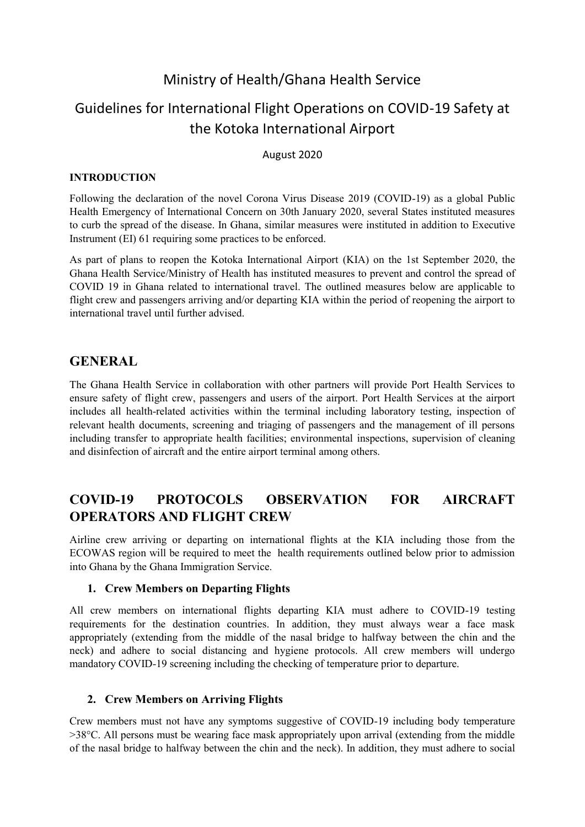## Ministry of Health/Ghana Health Service

# Guidelines for International Flight Operations on COVID-19 Safety at the Kotoka International Airport

#### August 2020

#### **INTRODUCTION**

Following the declaration of the novel Corona Virus Disease 2019 (COVID-19) as a global Public Health Emergency of International Concern on 30th January 2020, several States instituted measures to curb the spread of the disease. In Ghana, similar measures were instituted in addition to Executive Instrument (EI) 61 requiring some practices to be enforced.

As part of plans to reopen the Kotoka International Airport (KIA) on the 1st September 2020, the Ghana Health Service/Ministry of Health has instituted measures to prevent and control the spread of COVID 19 in Ghana related to international travel. The outlined measures below are applicable to flight crew and passengers arriving and/or departing KIA within the period of reopening the airport to international travel until further advised.

### **GENERAL**

The Ghana Health Service in collaboration with other partners will provide Port Health Services to ensure safety of flight crew, passengers and users of the airport. Port Health Services at the airport includes all health-related activities within the terminal including laboratory testing, inspection of relevant health documents, screening and triaging of passengers and the management of ill persons including transfer to appropriate health facilities; environmental inspections, supervision of cleaning and disinfection of aircraft and the entire airport terminal among others.

### **COVID-19 PROTOCOLS OBSERVATION FOR AIRCRAFT OPERATORS AND FLIGHT CREW**

Airline crew arriving or departing on international flights at the KIA including those from the ECOWAS region will be required to meet the health requirements outlined below prior to admission into Ghana by the Ghana Immigration Service.

#### **1. Crew Members on Departing Flights**

All crew members on international flights departing KIA must adhere to COVID-19 testing requirements for the destination countries. In addition, they must always wear a face mask appropriately (extending from the middle of the nasal bridge to halfway between the chin and the neck) and adhere to social distancing and hygiene protocols. All crew members will undergo mandatory COVID-19 screening including the checking of temperature prior to departure.

#### **2. Crew Members on Arriving Flights**

Crew members must not have any symptoms suggestive of COVID-19 including body temperature >38°C. All persons must be wearing face mask appropriately upon arrival (extending from the middle of the nasal bridge to halfway between the chin and the neck). In addition, they must adhere to social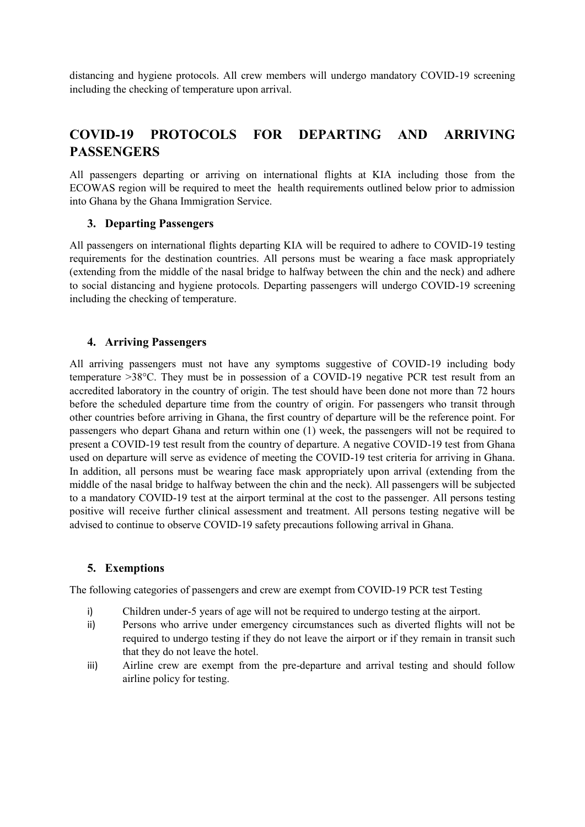distancing and hygiene protocols. All crew members will undergo mandatory COVID-19 screening including the checking of temperature upon arrival.

## **COVID-19 PROTOCOLS FOR DEPARTING AND ARRIVING PASSENGERS**

All passengers departing or arriving on international flights at KIA including those from the ECOWAS region will be required to meet the health requirements outlined below prior to admission into Ghana by the Ghana Immigration Service.

#### **3. Departing Passengers**

All passengers on international flights departing KIA will be required to adhere to COVID-19 testing requirements for the destination countries. All persons must be wearing a face mask appropriately (extending from the middle of the nasal bridge to halfway between the chin and the neck) and adhere to social distancing and hygiene protocols. Departing passengers will undergo COVID-19 screening including the checking of temperature.

#### **4. Arriving Passengers**

All arriving passengers must not have any symptoms suggestive of COVID-19 including body temperature >38°C. They must be in possession of a COVID-19 negative PCR test result from an accredited laboratory in the country of origin. The test should have been done not more than 72 hours before the scheduled departure time from the country of origin. For passengers who transit through other countries before arriving in Ghana, the first country of departure will be the reference point. For passengers who depart Ghana and return within one (1) week, the passengers will not be required to present a COVID-19 test result from the country of departure. A negative COVID-19 test from Ghana used on departure will serve as evidence of meeting the COVID-19 test criteria for arriving in Ghana. In addition, all persons must be wearing face mask appropriately upon arrival (extending from the middle of the nasal bridge to halfway between the chin and the neck). All passengers will be subjected to a mandatory COVID-19 test at the airport terminal at the cost to the passenger. All persons testing positive will receive further clinical assessment and treatment. All persons testing negative will be advised to continue to observe COVID-19 safety precautions following arrival in Ghana.

#### **5. Exemptions**

The following categories of passengers and crew are exempt from COVID-19 PCR test Testing

- i) Children under-5 years of age will not be required to undergo testing at the airport.
- ii) Persons who arrive under emergency circumstances such as diverted flights will not be required to undergo testing if they do not leave the airport or if they remain in transit such that they do not leave the hotel.
- iii) Airline crew are exempt from the pre-departure and arrival testing and should follow airline policy for testing.